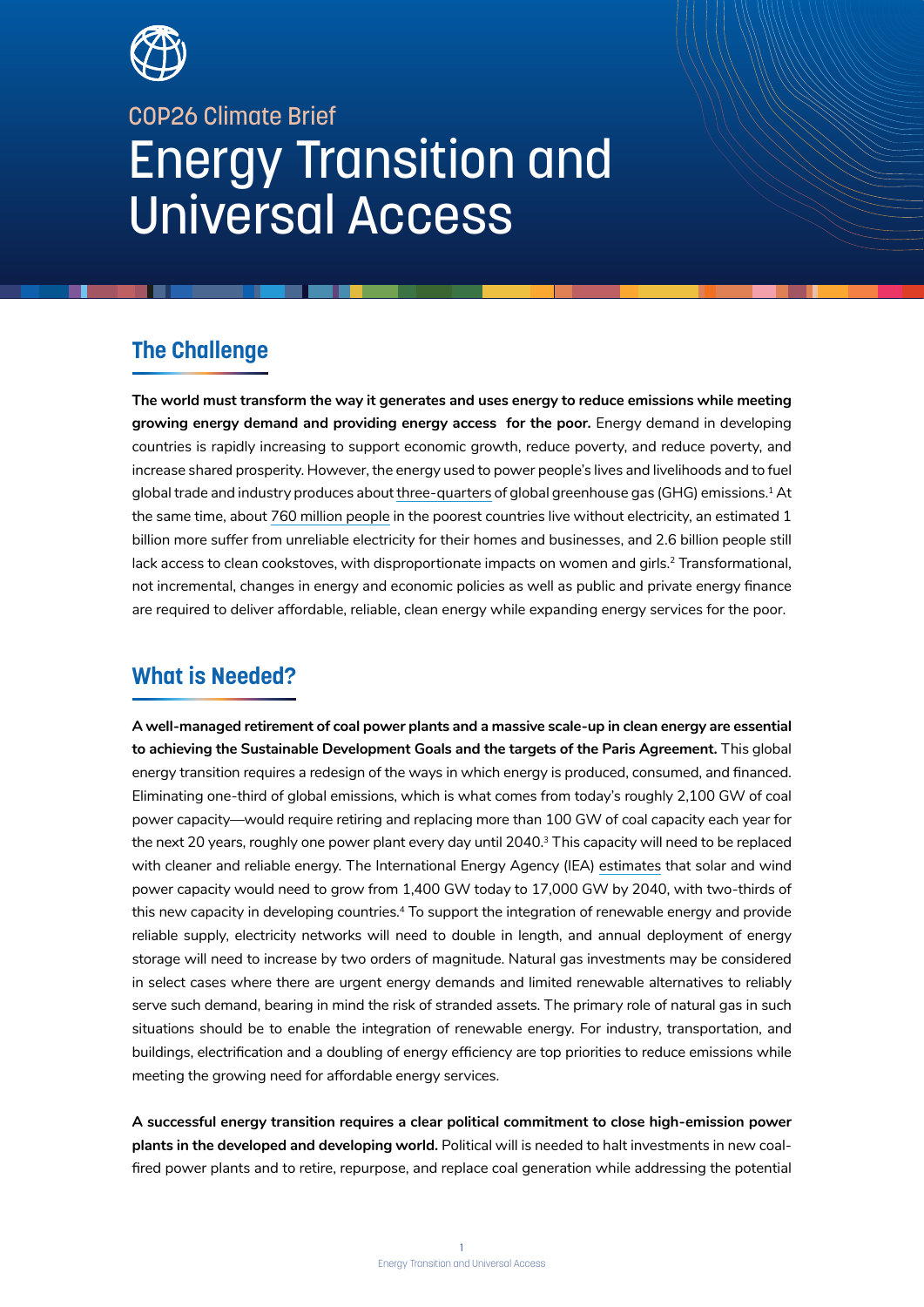

# COP26 Climate Brief Energy Transition and Universal Access

## **The Challenge**

**The world must transform the way it generates and uses energy to reduce emissions while meeting growing energy demand and providing energy access for the poor.** Energy demand in developing countries is rapidly increasing to support economic growth, reduce poverty, and reduce poverty, and increase shared prosperity. However, the energy used to power people's lives and livelihoods and to fuel global trade and industry produces about three-quarters of global greenhouse gas (GHG) emissions.<sup>1</sup> At the same time, about 760 million people in the poorest countries live without electricity, an estimated 1 billion more suffer from unreliable electricity for their homes and businesses, and 2.6 billion people still lack access to clean cookstoves, with disproportionate impacts on women and girls.<sup>2</sup> Transformational, not incremental, changes in energy and economic policies as well as public and private energy finance are required to deliver affordable, reliable, clean energy while expanding energy services for the poor.

### **What is Needed?**

**A well-managed retirement of coal power plants and a massive scale-up in clean energy are essential to achieving the Sustainable Development Goals and the targets of the Paris Agreement.** This global energy transition requires a redesign of the ways in which energy is produced, consumed, and financed. Eliminating one-third of global emissions, which is what comes from today's roughly 2,100 GW of coal power capacity—would require retiring and replacing more than 100 GW of coal capacity each year for the next 20 years, roughly one power plant every day until 2040.<sup>3</sup> This capacity will need to be replaced with cleaner and reliable energy. The International Energy Agency (IEA) estimates that solar and wind power capacity would need to grow from 1,400 GW today to 17,000 GW by 2040, with two-thirds of this new capacity in developing countries.<sup>4</sup> To support the integration of renewable energy and provide reliable supply, electricity networks will need to double in length, and annual deployment of energy storage will need to increase by two orders of magnitude. Natural gas investments may be considered in select cases where there are urgent energy demands and limited renewable alternatives to reliably serve such demand, bearing in mind the risk of stranded assets. The primary role of natural gas in such situations should be to enable the integration of renewable energy. For industry, transportation, and buildings, electrification and a doubling of energy efficiency are top priorities to reduce emissions while meeting the growing need for affordable energy services.

**A successful energy transition requires a clear political commitment to close high-emission power plants in the developed and developing world.** Political will is needed to halt investments in new coalfired power plants and to retire, repurpose, and replace coal generation while addressing the potential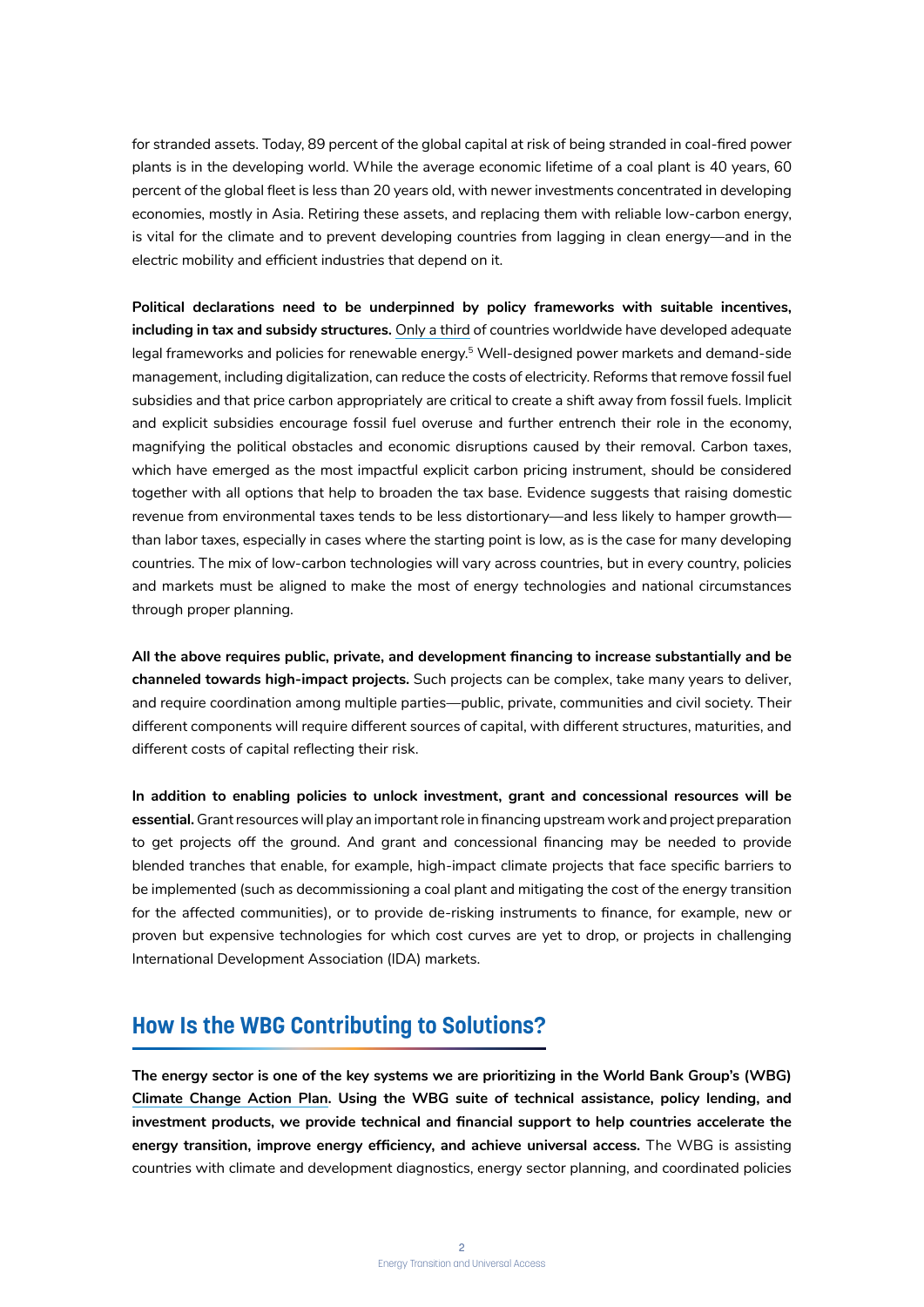for stranded assets. Today, 89 percent of the global capital at risk of being stranded in coal-fired power plants is in the developing world. While the average economic lifetime of a coal plant is 40 years, 60 percent of the global fleet is less than 20 years old, with newer investments concentrated in developing economies, mostly in Asia. Retiring these assets, and replacing them with reliable low-carbon energy, is vital for the climate and to prevent developing countries from lagging in clean energy—and in the electric mobility and efficient industries that depend on it.

**Political declarations need to be underpinned by policy frameworks with suitable incentives, including in tax and subsidy structures.** Only a third of countries worldwide have developed adequate legal frameworks and policies for renewable energy.<sup>5</sup> Well-designed power markets and demand-side management, including digitalization, can reduce the costs of electricity. Reforms that remove fossil fuel subsidies and that price carbon appropriately are critical to create a shift away from fossil fuels. Implicit and explicit subsidies encourage fossil fuel overuse and further entrench their role in the economy, magnifying the political obstacles and economic disruptions caused by their removal. Carbon taxes, which have emerged as the most impactful explicit carbon pricing instrument, should be considered together with all options that help to broaden the tax base. Evidence suggests that raising domestic revenue from environmental taxes tends to be less distortionary—and less likely to hamper growth than labor taxes, especially in cases where the starting point is low, as is the case for many developing countries. The mix of low-carbon technologies will vary across countries, but in every country, policies and markets must be aligned to make the most of energy technologies and national circumstances through proper planning.

**All the above requires public, private, and development financing to increase substantially and be channeled towards high-impact projects.** Such projects can be complex, take many years to deliver, and require coordination among multiple parties—public, private, communities and civil society. Their different components will require different sources of capital, with different structures, maturities, and different costs of capital reflecting their risk.

**In addition to enabling policies to unlock investment, grant and concessional resources will be essential.** Grant resources will play an important role in financing upstream work and project preparation to get projects off the ground. And grant and concessional financing may be needed to provide blended tranches that enable, for example, high-impact climate projects that face specific barriers to be implemented (such as decommissioning a coal plant and mitigating the cost of the energy transition for the affected communities), or to provide de-risking instruments to finance, for example, new or proven but expensive technologies for which cost curves are yet to drop, or projects in challenging International Development Association (IDA) markets.

#### **How Is the WBG Contributing to Solutions?**

**The energy sector is one of the key systems we are prioritizing in the World Bank Group's (WBG) Climate Change Action Plan. Using the WBG suite of technical assistance, policy lending, and investment products, we provide technical and financial support to help countries accelerate the energy transition, improve energy efficiency, and achieve universal access.** The WBG is assisting countries with climate and development diagnostics, energy sector planning, and coordinated policies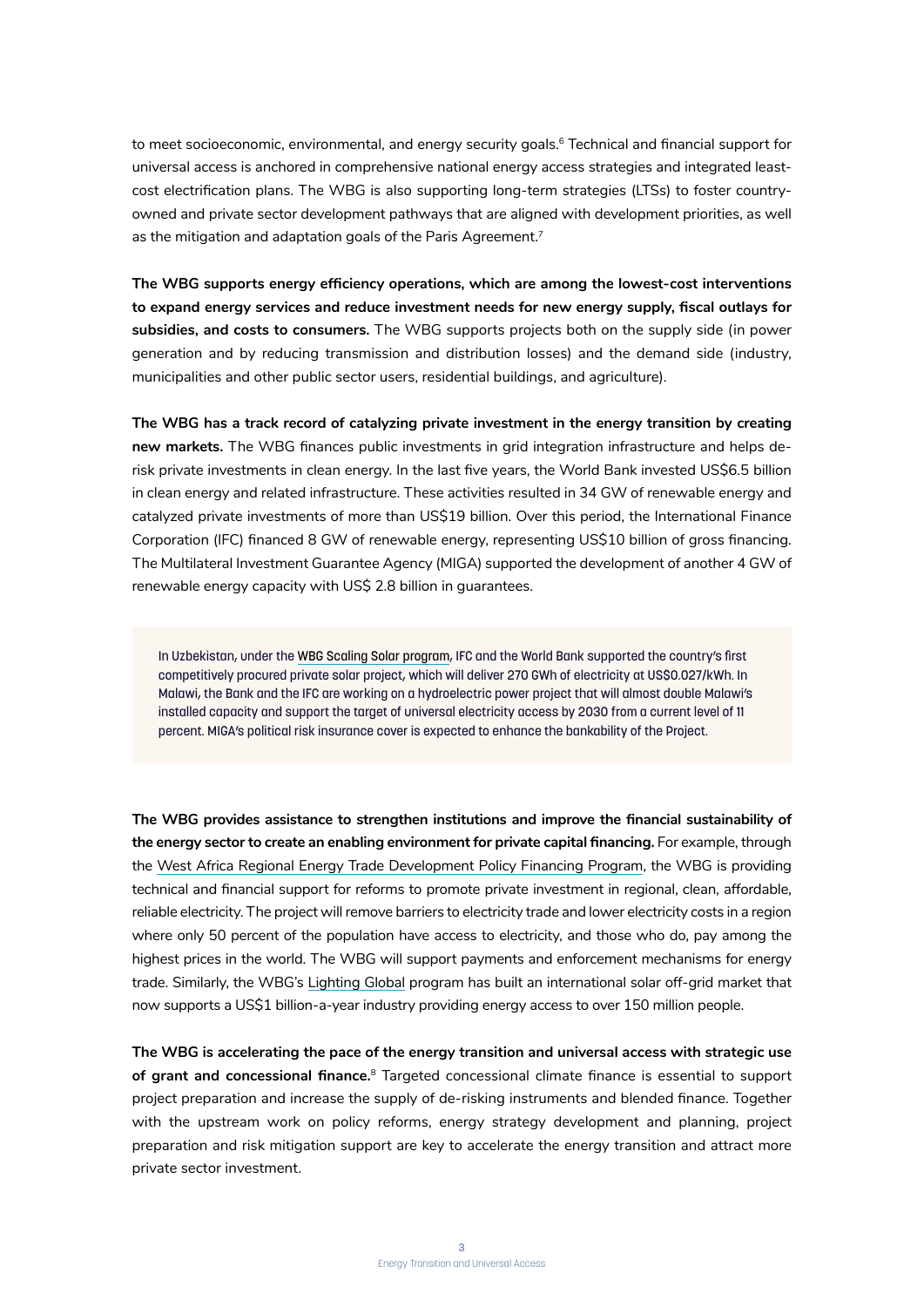to meet socioeconomic, environmental, and energy security goals.<sup>6</sup> Technical and financial support for universal access is anchored in comprehensive national energy access strategies and integrated leastcost electrification plans. The WBG is also supporting long-term strategies (LTSs) to foster countryowned and private sector development pathways that are aligned with development priorities, as well as the mitigation and adaptation goals of the Paris Agreement.<sup>7</sup>

**The WBG supports energy efficiency operations, which are among the lowest-cost interventions to expand energy services and reduce investment needs for new energy supply, fiscal outlays for subsidies, and costs to consumers.** The WBG supports projects both on the supply side (in power generation and by reducing transmission and distribution losses) and the demand side (industry, municipalities and other public sector users, residential buildings, and agriculture).

**The WBG has a track record of catalyzing private investment in the energy transition by creating new markets.** The WBG finances public investments in grid integration infrastructure and helps derisk private investments in clean energy. In the last five years, the World Bank invested US\$6.5 billion in clean energy and related infrastructure. These activities resulted in 34 GW of renewable energy and catalyzed private investments of more than US\$19 billion. Over this period, the International Finance Corporation (IFC) financed 8 GW of renewable energy, representing US\$10 billion of gross financing. The Multilateral Investment Guarantee Agency (MIGA) supported the development of another 4 GW of renewable energy capacity with US\$ 2.8 billion in guarantees.

In Uzbekistan, under the WBG Scaling Solar program, IFC and the World Bank supported the country's first competitively procured private solar project, which will deliver 270 GWh of electricity at US\$0.027/kWh. In Malawi, the Bank and the IFC are working on a hydroelectric power project that will almost double Malawi's installed capacity and support the target of universal electricity access by 2030 from a current level of 11 percent. MIGA's political risk insurance cover is expected to enhance the bankability of the Project.

**The WBG provides assistance to strengthen institutions and improve the financial sustainability of the energy sector to create an enabling environment for private capital financing.** For example, through the West Africa Regional Energy Trade Development Policy Financing Program, the WBG is providing technical and financial support for reforms to promote private investment in regional, clean, affordable, reliable electricity. The project will remove barriers to electricity trade and lower electricity costs in a region where only 50 percent of the population have access to electricity, and those who do, pay among the highest prices in the world. The WBG will support payments and enforcement mechanisms for energy trade. Similarly, the WBG's Lighting Global program has built an international solar off-grid market that now supports a US\$1 billion-a-year industry providing energy access to over 150 million people.

**The WBG is accelerating the pace of the energy transition and universal access with strategic use of grant and concessional finance.**<sup>8</sup> Targeted concessional climate finance is essential to support project preparation and increase the supply of de-risking instruments and blended finance. Together with the upstream work on policy reforms, energy strategy development and planning, project preparation and risk mitigation support are key to accelerate the energy transition and attract more private sector investment.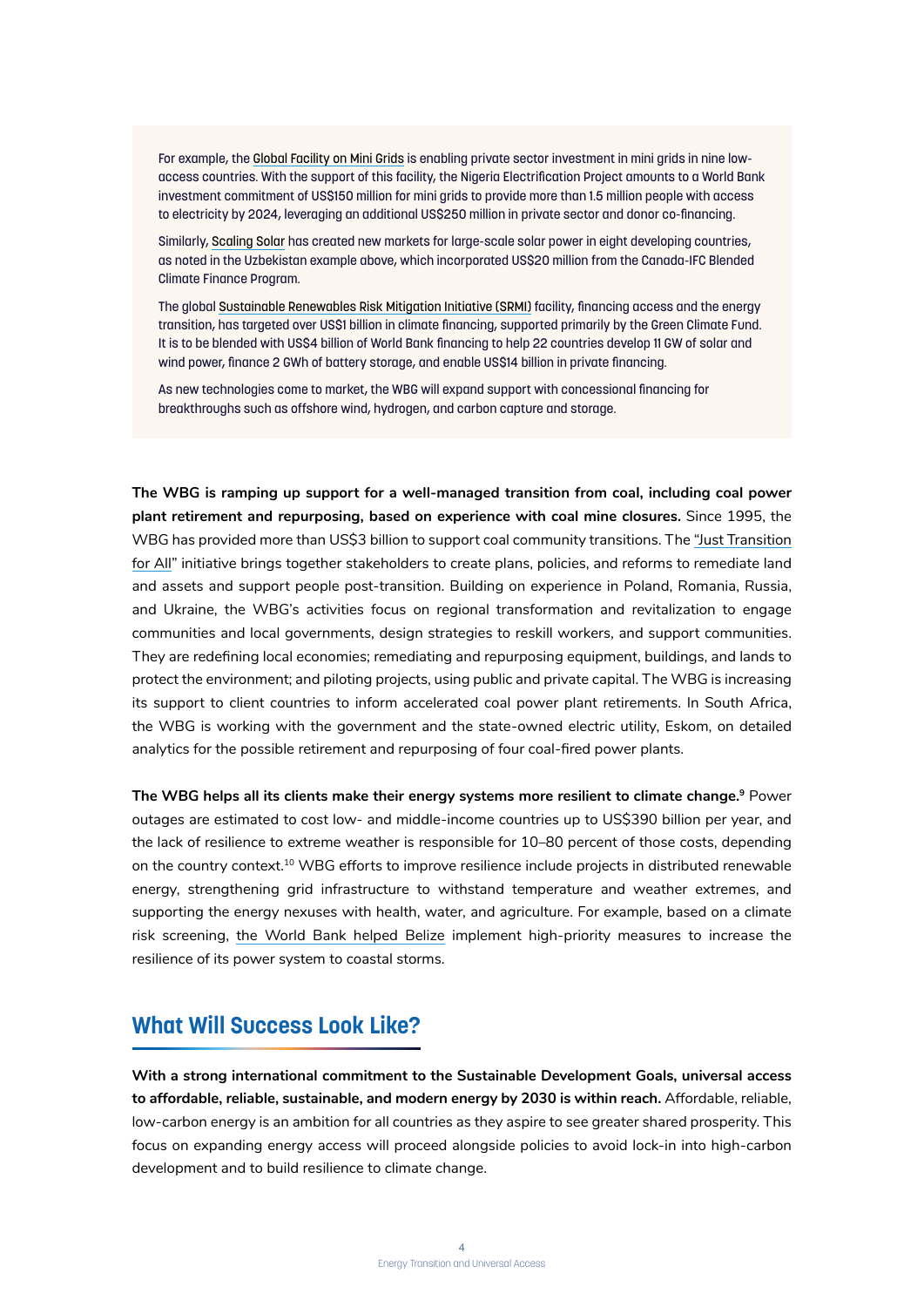For example, the Global Facility on Mini Grids is enabling private sector investment in mini grids in nine lowaccess countries. With the support of this facility, the Nigeria Electrification Project amounts to a World Bank investment commitment of US\$150 million for mini grids to provide more than 1.5 million people with access to electricity by 2024, leveraging an additional US\$250 million in private sector and donor co-financing.

Similarly, Scaling Solar has created new markets for large-scale solar power in eight developing countries, as noted in the Uzbekistan example above, which incorporated US\$20 million from the Canada-IFC Blended Climate Finance Program.

The global Sustainable Renewables Risk Mitigation Initiative (SRMI) facility, financing access and the energy transition, has targeted over US\$1 billion in climate financing, supported primarily by the Green Climate Fund. It is to be blended with US\$4 billion of World Bank financing to help 22 countries develop 11 GW of solar and wind power, finance 2 GWh of battery storage, and enable US\$14 billion in private financing.

As new technologies come to market, the WBG will expand support with concessional financing for breakthroughs such as offshore wind, hydrogen, and carbon capture and storage.

**The WBG is ramping up support for a well-managed transition from coal, including coal power plant retirement and repurposing, based on experience with coal mine closures.** Since 1995, the WBG has provided more than US\$3 billion to support coal community transitions. The "Just Transition for All" initiative brings together stakeholders to create plans, policies, and reforms to remediate land and assets and support people post-transition. Building on experience in Poland, Romania, Russia, and Ukraine, the WBG's activities focus on regional transformation and revitalization to engage communities and local governments, design strategies to reskill workers, and support communities. They are redefining local economies; remediating and repurposing equipment, buildings, and lands to protect the environment; and piloting projects, using public and private capital. The WBG is increasing its support to client countries to inform accelerated coal power plant retirements. In South Africa, the WBG is working with the government and the state-owned electric utility, Eskom, on detailed analytics for the possible retirement and repurposing of four coal-fired power plants.

**The WBG helps all its clients make their energy systems more resilient to climate change.9** Power outages are estimated to cost low- and middle-income countries up to US\$390 billion per year, and the lack of resilience to extreme weather is responsible for 10–80 percent of those costs, depending on the country context.<sup>10</sup> WBG efforts to improve resilience include projects in distributed renewable energy, strengthening grid infrastructure to withstand temperature and weather extremes, and supporting the energy nexuses with health, water, and agriculture. For example, based on a climate risk screening, the World Bank helped Belize implement high-priority measures to increase the resilience of its power system to coastal storms.

#### **What Will Success Look Like?**

**With a strong international commitment to the Sustainable Development Goals, universal access to affordable, reliable, sustainable, and modern energy by 2030 is within reach.** Affordable, reliable, low-carbon energy is an ambition for all countries as they aspire to see greater shared prosperity. This focus on expanding energy access will proceed alongside policies to avoid lock-in into high-carbon development and to build resilience to climate change.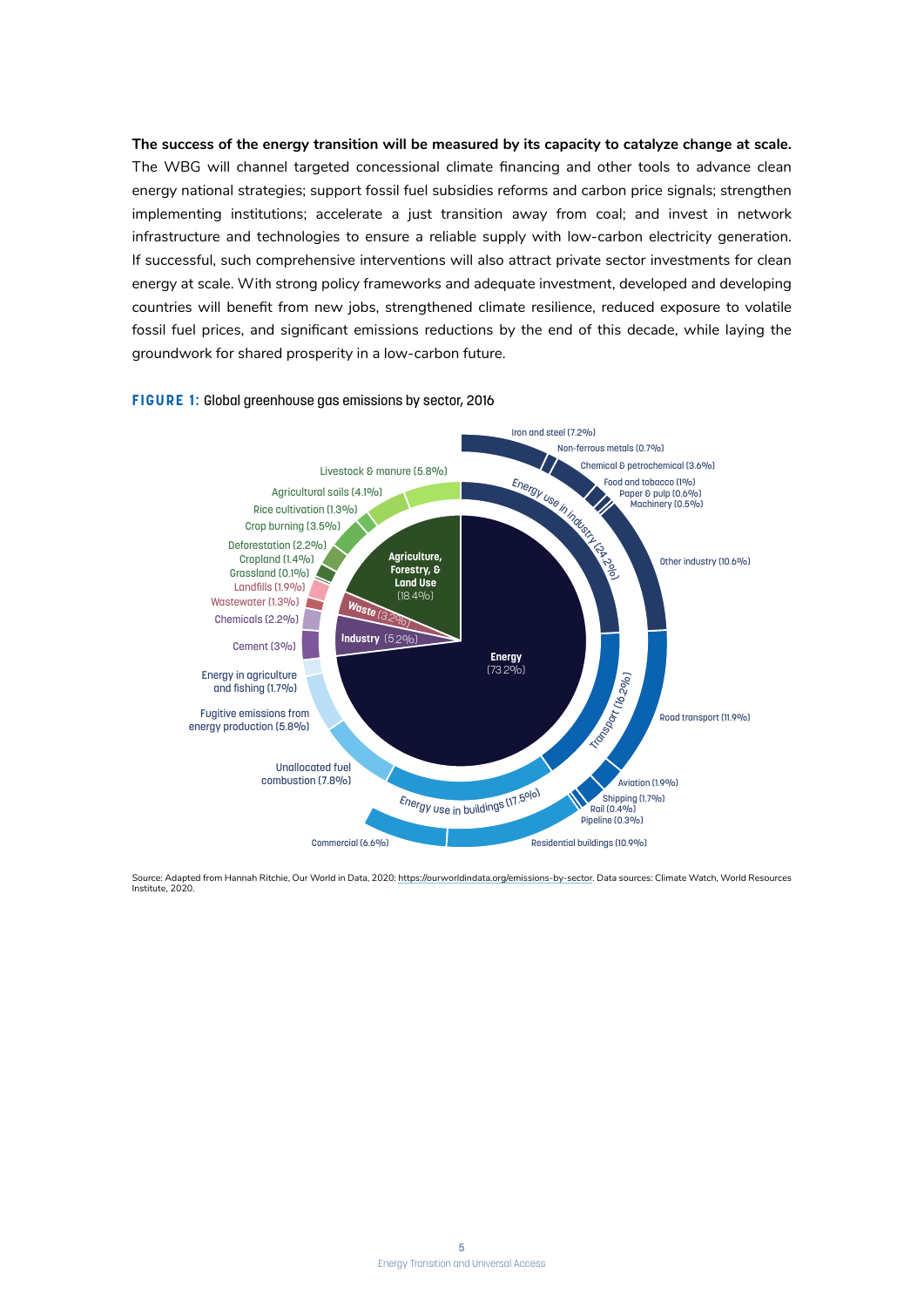**The success of the energy transition will be measured by its capacity to catalyze change at scale.**  The WBG will channel targeted concessional climate financing and other tools to advance clean energy national strategies; support fossil fuel subsidies reforms and carbon price signals; strengthen implementing institutions; accelerate a just transition away from coal; and invest in network infrastructure and technologies to ensure a reliable supply with low-carbon electricity generation. If successful, such comprehensive interventions will also attract private sector investments for clean energy at scale. With strong policy frameworks and adequate investment, developed and developing countries will benefit from new jobs, strengthened climate resilience, reduced exposure to volatile fossil fuel prices, and significant emissions reductions by the end of this decade, while laying the groundwork for shared prosperity in a low-carbon future.



#### **FIGURE 1:** Global greenhouse gas emissions by sector, 2016

*Source:* Adapted from Hannah Ritchie, Our World in Data, 2020: https://ourworldindata.org/emissions-by-sector. Data sources: Climate Watch, World Resources Institute, 2020.